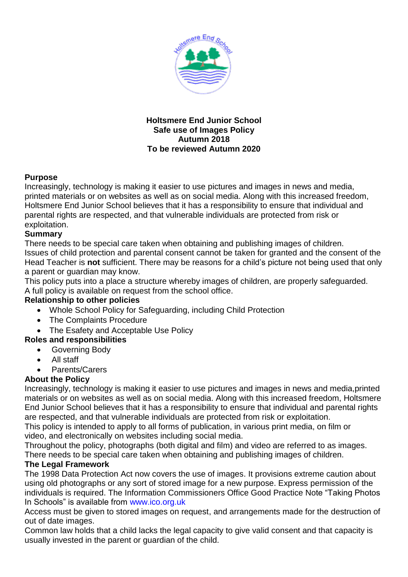

#### **Holtsmere End Junior School Safe use of Images Policy Autumn 2018 To be reviewed Autumn 2020**

## **Purpose**

Increasingly, technology is making it easier to use pictures and images in news and media, printed materials or on websites as well as on social media. Along with this increased freedom, Holtsmere End Junior School believes that it has a responsibility to ensure that individual and parental rights are respected, and that vulnerable individuals are protected from risk or exploitation.

## **Summary**

There needs to be special care taken when obtaining and publishing images of children. Issues of child protection and parental consent cannot be taken for granted and the consent of the Head Teacher is **not** sufficient. There may be reasons for a child's picture not being used that only a parent or guardian may know.

This policy puts into a place a structure whereby images of children, are properly safeguarded. A full policy is available on request from the school office.

#### **Relationship to other policies**

- Whole School Policy for Safeguarding, including Child Protection
- The Complaints Procedure
- The Esafety and Acceptable Use Policy

# **Roles and responsibilities**

- **•** Governing Body
- All staff
- Parents/Carers

# **About the Policy**

Increasingly, technology is making it easier to use pictures and images in news and media,printed materials or on websites as well as on social media. Along with this increased freedom, Holtsmere End Junior School believes that it has a responsibility to ensure that individual and parental rights are respected, and that vulnerable individuals are protected from risk or exploitation.

This policy is intended to apply to all forms of publication, in various print media, on film or video, and electronically on websites including social media.

Throughout the policy, photographs (both digital and film) and video are referred to as images. There needs to be special care taken when obtaining and publishing images of children.

# **The Legal Framework**

The 1998 Data Protection Act now covers the use of images. It provisions extreme caution about using old photographs or any sort of stored image for a new purpose. Express permission of the individuals is required. The Information Commissioners Office Good Practice Note "Taking Photos In Schools" is available from www.ico.org.uk

Access must be given to stored images on request, and arrangements made for the destruction of out of date images.

Common law holds that a child lacks the legal capacity to give valid consent and that capacity is usually invested in the parent or guardian of the child.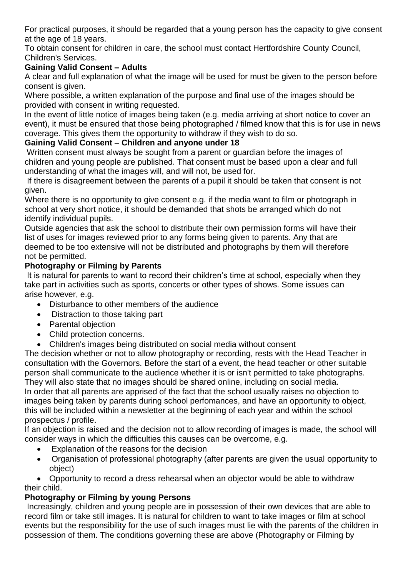For practical purposes, it should be regarded that a young person has the capacity to give consent at the age of 18 years.

To obtain consent for children in care, the school must contact Hertfordshire County Council, Children's Services.

# **Gaining Valid Consent – Adults**

A clear and full explanation of what the image will be used for must be given to the person before consent is given.

Where possible, a written explanation of the purpose and final use of the images should be provided with consent in writing requested.

In the event of little notice of images being taken (e.g. media arriving at short notice to cover an event), it must be ensured that those being photographed / filmed know that this is for use in news coverage. This gives them the opportunity to withdraw if they wish to do so.

# **Gaining Valid Consent – Children and anyone under 18**

Written consent must always be sought from a parent or guardian before the images of children and young people are published. That consent must be based upon a clear and full understanding of what the images will, and will not, be used for.

If there is disagreement between the parents of a pupil it should be taken that consent is not given.

Where there is no opportunity to give consent e.g. if the media want to film or photograph in school at very short notice, it should be demanded that shots be arranged which do not identify individual pupils.

Outside agencies that ask the school to distribute their own permission forms will have their list of uses for images reviewed prior to any forms being given to parents. Any that are deemed to be too extensive will not be distributed and photographs by them will therefore not be permitted.

## **Photography or Filming by Parents**

It is natural for parents to want to record their children's time at school, especially when they take part in activities such as sports, concerts or other types of shows. Some issues can arise however, e.g.

- Disturbance to other members of the audience
- Distraction to those taking part
- Parental objection
- Child protection concerns.
- Children's images being distributed on social media without consent

The decision whether or not to allow photography or recording, rests with the Head Teacher in consultation with the Governors. Before the start of a event, the head teacher or other suitable person shall communicate to the audience whether it is or isn't permitted to take photographs. They will also state that no images should be shared online, including on social media. In order that all parents are apprised of the fact that the school usually raises no objection to images being taken by parents during school perfomances, and have an opportunity to object, this will be included within a newsletter at the beginning of each year and within the school

prospectus / profile.

If an objection is raised and the decision not to allow recording of images is made, the school will consider ways in which the difficulties this causes can be overcome, e.g.

- Explanation of the reasons for the decision
- Organisation of professional photography (after parents are given the usual opportunity to object)

 Opportunity to record a dress rehearsal when an objector would be able to withdraw their child.

# **Photography or Filming by young Persons**

Increasingly, children and young people are in possession of their own devices that are able to record film or take still images. It is natural for children to want to take images or film at school events but the responsibility for the use of such images must lie with the parents of the children in possession of them. The conditions governing these are above (Photography or Filming by